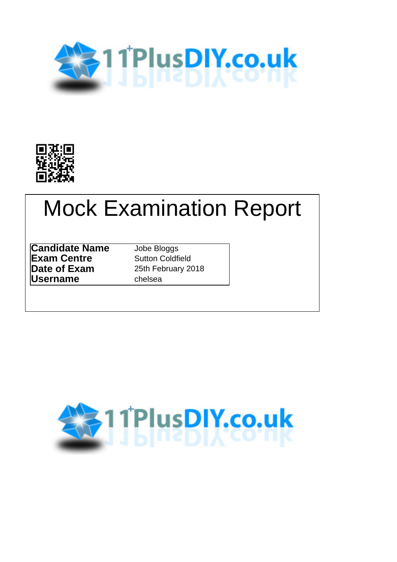



# Mock Examination Report

**Candidate Name** Jobe Bloggs **Exam Centre Sutton Coldfield Date of Exam** 25th February 2018 **Username** chelsea

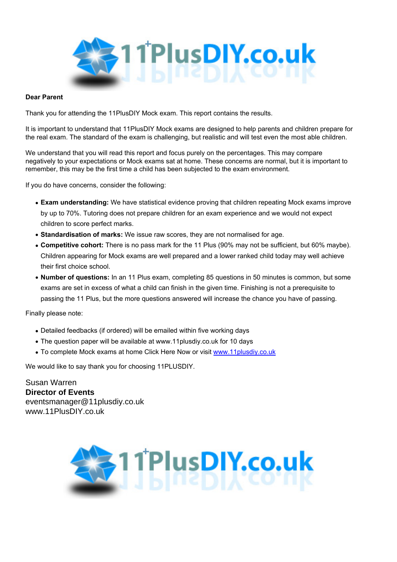

#### **Dear Parent**

Thank you for attending the 11PlusDIY Mock exam. This report contains the results.

It is important to understand that 11PlusDIY Mock exams are designed to help parents and children prepare for the real exam. The standard of the exam is challenging, but realistic and will test even the most able children.

We understand that you will read this report and focus purely on the percentages. This may compare negatively to your expectations or Mock exams sat at home. These concerns are normal, but it is important to remember, this may be the first time a child has been subjected to the exam environment.

If you do have concerns, consider the following:

- **Exam understanding:** We have statistical evidence proving that children repeating Mock exams improve by up to 70%. Tutoring does not prepare children for an exam experience and we would not expect children to score perfect marks.
- **Standardisation of marks:** We issue raw scores, they are not normalised for age.
- **Competitive cohort:** There is no pass mark for the 11 Plus (90% may not be sufficient, but 60% maybe). Children appearing for Mock exams are well prepared and a lower ranked child today may well achieve their first choice school.
- **Number of questions:** In an 11 Plus exam, completing 85 questions in 50 minutes is common, but some exams are set in excess of what a child can finish in the given time. Finishing is not a prerequisite to passing the 11 Plus, but the more questions answered will increase the chance you have of passing.

Finally please note:

- Detailed feedbacks (if ordered) will be emailed within five working days
- The question paper will be available at www.11plusdiy.co.uk for 10 days
- To complete Mock exams at home Click Here Now or visit [www.11plusdiy.co.uk](http://www.11plusdiy.co.uk)

We would like to say thank you for choosing 11PLUSDIY.

Susan Warren **Director of Events** eventsmanager@11plusdiy.co.uk www.11PlusDIY.co.uk

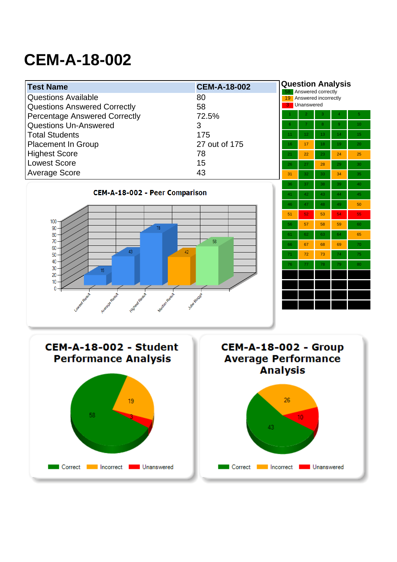# **CEM-A-18-002**

| <b>Test Name</b>                                                 | <b>CEM-A-18-002</b>         |                 | <b>Question Analysis</b><br>Answered correctly |    |                 |                |
|------------------------------------------------------------------|-----------------------------|-----------------|------------------------------------------------|----|-----------------|----------------|
| <b>Questions Available</b>                                       | 80                          |                 | 19 Answered incorrectly                        |    |                 |                |
| <b>Questions Answered Correctly</b>                              | 58                          | 3               | Unanswered                                     |    |                 |                |
| <b>Percentage Answered Correctly</b>                             | 72.5%                       |                 |                                                | 3  |                 | $\overline{5}$ |
| <b>Questions Un-Answered</b>                                     | 3                           | 6 <sup>1</sup>  |                                                | 8  | $\overline{9}$  | 10             |
| <b>Total Students</b>                                            | 175                         | 11              | 12 <sub>1</sub>                                | 13 | 14 <sup>°</sup> | 15             |
| <b>Placement In Group</b>                                        | 27 out of 175               | 16              | 17                                             | 18 | 19              | 20             |
| <b>Highest Score</b>                                             | 78                          | 21              | 22                                             | 23 | 24              | 25             |
| <b>Lowest Score</b>                                              | 15                          | 26              | 27                                             | 28 | 29              | 30             |
| <b>Average Score</b>                                             | 43                          | 31              | 32                                             | 33 | 34              | 35             |
|                                                                  |                             | 36              | 37                                             | 38 | 39              | 40             |
| <b>CEM-A-18-002 - Peer Comparison</b>                            |                             | 41              | 42                                             | 43 | 44              | 45             |
|                                                                  |                             | 46              | 47                                             | 48 | 49              | 50             |
|                                                                  |                             | 51              | 52                                             | 53 | 54              | 55             |
| 100<br>78<br>90                                                  |                             | 56              | 57                                             | 58 | 59              | 60             |
| 80                                                               |                             | 61              | 62                                             | 63 | 64              | 65             |
| 70<br>60                                                         | 58                          | 66              | 67                                             | 68 | 69              | 70             |
| 43<br>42<br>50                                                   |                             | 71              | 72                                             | 73 | 74              | 75             |
| 40<br>30<br>15                                                   |                             | 76              | 77                                             | 78 | 79              | 80             |
| 20                                                               |                             |                 |                                                |    |                 |                |
| 10<br>0                                                          |                             |                 |                                                |    |                 |                |
|                                                                  | Jobs Blogs's                |                 |                                                |    |                 |                |
| Median Result<br>Lower Regill<br>Average Result<br>Highest Regul |                             |                 |                                                |    |                 |                |
|                                                                  |                             |                 |                                                |    |                 |                |
|                                                                  |                             |                 |                                                |    |                 |                |
|                                                                  |                             |                 |                                                |    |                 |                |
| CEM-A-18-002 - Student                                           | <b>CEM-A-18-002 - Group</b> |                 |                                                |    |                 |                |
| <b>Performance Analysis</b>                                      | <b>Average Performance</b>  |                 |                                                |    |                 |                |
|                                                                  |                             | <b>Analysis</b> |                                                |    |                 |                |



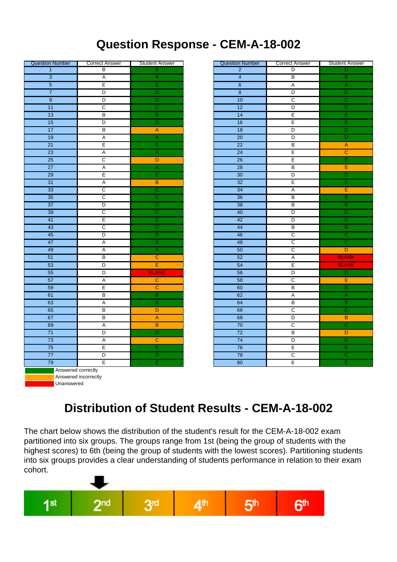### **Question Response - CEM-A-18-002**

| <b>Question Number</b>    | <b>Correct Answer</b>   | <b>Student Answer</b>     | <b>Question Number</b>               | <b>Correct Answer</b>   | Student                   |
|---------------------------|-------------------------|---------------------------|--------------------------------------|-------------------------|---------------------------|
| $\overline{1}$            | B                       | $\mathbf B$               | $\overline{2}$                       | D                       | D                         |
| $\overline{\overline{3}}$ | A                       | $\overline{A}$            | $\overline{4}$                       | $\overline{B}$          | $\overline{B}$            |
| $\overline{5}$            | Ē                       | Ē                         | $\overline{6}$                       | $\overline{A}$          | $\overline{A}$            |
| $\overline{7}$            | $\overline{D}$          | $\overline{D}$            | $\overline{\overline{\overline{8}}}$ | $\overline{D}$          | $\overline{\mathsf{D}}$   |
| $\overline{9}$            | $\overline{\mathsf{D}}$ | $\overline{D}$            | $\overline{10}$                      | $\overline{\text{c}}$   | $\overline{c}$            |
| $\overline{11}$           | $\overline{\mathsf{c}}$ | $\overline{\text{c}}$     | $\overline{12}$                      | $\overline{D}$          | ō                         |
| $\overline{13}$           | $\overline{B}$          | $\overline{B}$            | $\overline{14}$                      | E                       | Ē                         |
| $\overline{15}$           | $\overline{D}$          | $\overline{D}$            | $\overline{16}$                      | $\overline{E}$          | Ē                         |
| $\overline{17}$           | $\overline{B}$          | $\mathsf{A}$              | $\overline{18}$                      | $\overline{D}$          | ō                         |
| $\overline{19}$           | $\overline{A}$          | $\overline{A}$            | $\overline{20}$                      | $\overline{D}$          | ō                         |
| $\overline{21}$           | E                       | Έ                         | $\overline{22}$                      | $\overline{B}$          | $\overline{A}$            |
| $\overline{23}$           | $\overline{A}$          | $\overline{A}$            | $\overline{24}$                      | $\overline{E}$          | $\overline{c}$            |
| $\overline{25}$           | $\overline{c}$          | $\overline{D}$            | $\overline{26}$                      | E                       | Έ                         |
| $\overline{27}$           | $\overline{A}$          | $\overline{A}$            | $\overline{28}$                      | В                       | E                         |
| $\overline{29}$           | Έ                       | Έ                         | 30                                   | $\overline{D}$          | $\overline{\mathsf{D}}$   |
| 31                        | $\overline{A}$          | $\overline{B}$            | 32                                   | Ē                       | Ē                         |
| 33                        | $\overline{\text{c}}$   | $\overline{C}$            | $\overline{34}$                      | A                       | E                         |
| 35                        | $\overline{c}$          | $\overline{\text{c}}$     | $\overline{36}$                      | $\overline{B}$          | $\overline{\mathbf{B}}$   |
| $\overline{37}$           | $\overline{D}$          | $\overline{D}$            | 38                                   | $\overline{B}$          | $\overline{B}$            |
| 39                        | $\overline{c}$          | $\overline{\text{c}}$     | 40                                   | $\overline{D}$          | ō                         |
| 41                        | Έ                       | Έ                         | 42                                   | $\overline{D}$          | ō                         |
| 43                        | $\overline{c}$          | $\overline{C}$            | 44                                   | $\overline{B}$          | $\overline{B}$            |
| 45                        | D                       | $\overline{D}$            | 46                                   | C                       | $\overline{c}$            |
| 47                        | A                       | $\overline{\mathsf{A}}$   | 48                                   | $\overline{C}$          | $\overline{c}$            |
| 49                        | $\overline{A}$          | $\overline{A}$            | 50                                   | $\overline{C}$          | D                         |
| $\overline{51}$           | $\overline{B}$          | $\mathbf C$               | 52                                   | $\overline{\mathsf{A}}$ | <b>BLA</b>                |
| 53                        | $\overline{D}$          | E                         | 54                                   | Ē                       | <b>BLA</b>                |
| 55                        | $\overline{D}$          | <b>BLANK</b>              | 56                                   | $\overline{D}$          | D                         |
| $\overline{57}$           | $\overline{\mathsf{A}}$ | $\overline{C}$            | $\overline{58}$                      | $\overline{c}$          | Ε                         |
| 59                        | Έ                       | $\overline{c}$            | 60                                   | $\overline{B}$          | $\overline{B}$            |
| 61                        | $\overline{B}$          | $\overline{B}$            | 62                                   | $\overline{\mathsf{A}}$ | $\overline{A}$            |
| 63                        | $\overline{A}$          | $\overline{A}$            | 64                                   | $\overline{B}$          | $\overline{\mathbf{B}}$   |
| 65                        | $\overline{B}$          | D                         | 66                                   | $\overline{\text{c}}$   | $\overline{c}$            |
| 67                        | $\overline{B}$          | $\boldsymbol{\mathsf{A}}$ | 68                                   | $\overline{D}$          | $\overline{\mathbf{B}}$   |
| 69                        | $\overline{A}$          | $\overline{B}$            | $\overline{70}$                      | $\overline{c}$          | $\overline{\overline{c}}$ |
| $\overline{71}$           | $\overline{\mathsf{D}}$ | $\overline{D}$            | $\overline{72}$                      | $\overline{B}$          | $\overline{\mathsf{D}}$   |
| $\overline{73}$           | A                       | $\overline{c}$            | $\overline{74}$                      | $\overline{D}$          | ō                         |
| $\overline{75}$           | Ε                       | Έ                         | $\overline{76}$                      | $\overline{E}$          | Ē                         |
| $\overline{77}$           | $\overline{\mathsf{D}}$ | $\overline{D}$            | $\overline{78}$                      | $\overline{c}$          | $\overline{\overline{c}}$ |
| $\overline{79}$           | $\overline{E}$          | Ē                         | $\overline{80}$                      | $\overline{E}$          | Ē                         |
| Answered correctly        |                         |                           |                                      |                         |                           |
|                           | Answered incorrectly    |                           |                                      |                         |                           |
| Unanswered                |                         |                           |                                      |                         |                           |
|                           |                         |                           |                                      |                         |                           |

| Question Number           | <b>Correct Answer</b>   | <b>Student Answer</b>     | <b>Question Number</b> | <b>Correct Answer</b>   | <b>Student Answer</b>   |
|---------------------------|-------------------------|---------------------------|------------------------|-------------------------|-------------------------|
| $\overline{1}$            | B                       | $\overline{\mathsf{B}}$   | $\overline{2}$         | D                       | D                       |
| $\overline{\overline{3}}$ | $\overline{A}$          | $\overline{A}$            | $\overline{4}$         | $\overline{B}$          | $\overline{B}$          |
| $\overline{5}$            | $\overline{\mathsf{E}}$ | Έ                         | $\overline{6}$         | $\overline{A}$          | $\overline{A}$          |
| $\overline{7}$            | $\overline{D}$          | $\overline{D}$            | $\overline{8}$         | $\overline{D}$          | $\overline{\mathsf{D}}$ |
| $\overline{9}$            | $\overline{D}$          | $\overline{D}$            | 10                     | $\overline{\mathsf{c}}$ | $\overline{\mathsf{c}}$ |
| $\overline{11}$           | $\overline{\text{c}}$   | $\overline{\text{c}}$     | $\overline{12}$        | $\overline{D}$          | $\overline{D}$          |
| $\overline{13}$           | $\overline{B}$          | $\overline{B}$            | $\overline{14}$        | $\overline{E}$          | Έ                       |
| 15                        | $\overline{D}$          | $\overline{D}$            | 16                     | E                       | $\overline{\mathsf{E}}$ |
| 17                        | $\overline{B}$          | $\overline{\mathsf{A}}$   | $\overline{18}$        | $\overline{D}$          | $\overline{\mathsf{D}}$ |
| $\overline{19}$           | $\overline{A}$          | $\overline{A}$            | $\overline{20}$        | D                       | $\overline{D}$          |
| $\overline{21}$           | $\overline{E}$          | Ε                         | $\overline{22}$        | $\overline{B}$          | $\overline{A}$          |
| $\overline{23}$           | $\overline{A}$          | $\overline{A}$            | $\overline{24}$        | Έ                       | $\overline{c}$          |
| $\overline{25}$           | $\overline{c}$          | $\overline{D}$            | $\overline{26}$        | $\overline{E}$          | Έ                       |
| $\overline{27}$           | $\overline{A}$          | $\overline{\mathsf{A}}$   | $\overline{28}$        | $\overline{B}$          | Έ                       |
| $\overline{29}$           | $\overline{E}$          | Ε                         | 30                     | $\overline{D}$          | $\overline{\mathsf{D}}$ |
| $\overline{31}$           | $\overline{A}$          | $\overline{B}$            | 32                     | $\overline{E}$          | Έ                       |
| 33                        | $\overline{c}$          | $\overline{c}$            | 34                     | $\overline{A}$          | Έ                       |
| 35                        | $\overline{\mathsf{c}}$ | $\overline{\mathsf{c}}$   | 36                     | $\overline{B}$          | $\overline{B}$          |
| 37                        | $\overline{D}$          | $\overline{D}$            | 38                     | $\overline{B}$          | $\overline{B}$          |
| 39                        | $\overline{C}$          | $\overline{\text{c}}$     | 40                     | $\overline{D}$          | $\overline{\mathsf{D}}$ |
| 41                        | $\overline{E}$          | Ē                         | 42                     | D                       | $\overline{D}$          |
| 43                        | $\overline{c}$          | $\overline{c}$            | 44                     | $\overline{B}$          | $\overline{B}$          |
| 45                        | $\overline{D}$          | $\overline{D}$            | 46                     | $\overline{C}$          | $\overline{c}$          |
| 47                        | $\overline{A}$          | $\overline{\mathsf{A}}$   | 48                     | $\overline{C}$          | $\overline{c}$          |
| 49                        | $\overline{A}$          | $\overline{A}$            | 50                     | $\overline{\mathsf{c}}$ | $\overline{D}$          |
| 51                        | $\overline{B}$          | $\overline{C}$            | 52                     | $\overline{A}$          | <b>BLANK</b>            |
| 53                        | $\overline{D}$          | Ē                         | 54                     | Ε                       | <b>BLANK</b>            |
| $\overline{55}$           | $\overline{D}$          | <b>BLANK</b>              | 56                     | $\overline{D}$          | $\overline{\mathsf{D}}$ |
| $\overline{57}$           | $\overline{A}$          | $\overline{C}$            | 58                     | $\overline{c}$          | Ε                       |
| 59                        | E                       | $\overline{\mathsf{C}}$   | 60                     | $\overline{B}$          | $\overline{B}$          |
| 61                        | $\overline{B}$          | $\overline{B}$            | 62                     | $\overline{\mathsf{A}}$ | $\overline{\mathsf{A}}$ |
| 63                        | $\overline{A}$          | $\overline{A}$            | 64                     | $\overline{B}$          | $\overline{B}$          |
| 65                        | $\overline{B}$          | $\overline{D}$            | 66                     | $\overline{c}$          | $\overline{\mathsf{c}}$ |
| 67                        | $\overline{B}$          | $\boldsymbol{\mathsf{A}}$ | 68                     | $\overline{D}$          | $\overline{B}$          |
| 69                        | $\overline{\mathsf{A}}$ | $\overline{\mathsf{B}}$   | $\overline{70}$        | $\overline{c}$          | $\overline{c}$          |
| $\overline{71}$           | $\overline{D}$          | $\overline{D}$            | $\overline{72}$        | $\overline{B}$          | $\overline{D}$          |
| $\overline{73}$           | $\overline{A}$          | $\overline{C}$            | 74                     | $\overline{D}$          | $\overline{\mathsf{D}}$ |
| $\overline{75}$           | Έ                       | $\overline{\overline{E}}$ | $\overline{76}$        | $\overline{E}$          | Έ                       |
| $\overline{77}$           | $\overline{D}$          | $\overline{D}$            | $\overline{78}$        | $\overline{\mathsf{c}}$ | $\overline{c}$          |
| $\overline{79}$           | $\overline{E}$          | Ē                         | 80                     | $\overline{E}$          | Ē                       |

## **Distribution of Student Results - CEM-A-18-002**

The chart below shows the distribution of the student's result for the CEM-A-18-002 exam partitioned into six groups. The groups range from 1st (being the group of students with the highest scores) to 6th (being the group of students with the lowest scores). Partitioning students into six groups provides a clear understanding of students performance in relation to their exam cohort.

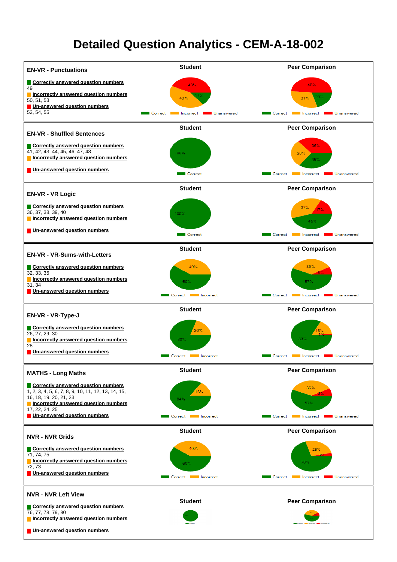### **Detailed Question Analytics - CEM-A-18-002**

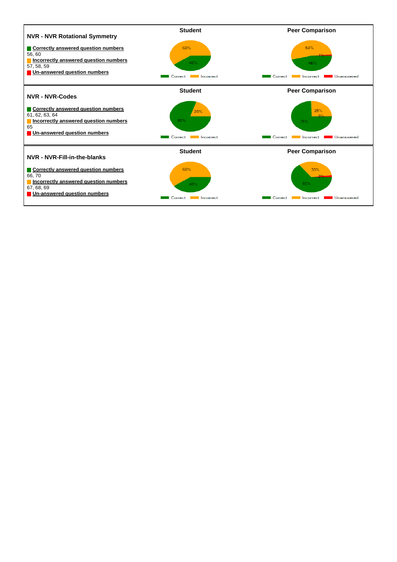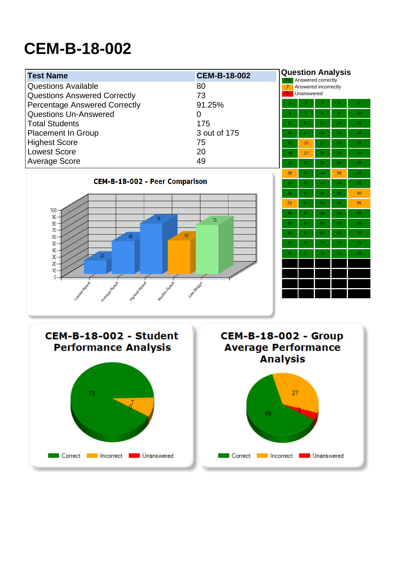# **CEM-B-18-002**

| <b>Question Analysis</b><br><b>Test Name</b><br><b>CEM-B-18-002</b><br>Answered correctly<br>73 |                             |                 |                      |    |    |                 |
|-------------------------------------------------------------------------------------------------|-----------------------------|-----------------|----------------------|----|----|-----------------|
| <b>Questions Available</b>                                                                      | 80                          | $\overline{7}$  | Answered incorrectly |    |    |                 |
| <b>Questions Answered Correctly</b>                                                             | 73                          |                 | <b>0</b> Unanswered  |    |    |                 |
| <b>Percentage Answered Correctly</b>                                                            | 91.25%                      |                 | $\overline{2}$       | 3  |    | $\overline{5}$  |
| <b>Questions Un-Answered</b>                                                                    | $\overline{0}$              | 6 <sup>1</sup>  |                      | 8  | 9  | 10 <sup>°</sup> |
| <b>Total Students</b>                                                                           | 175                         | 11              | 12                   | 13 | 14 | 15              |
| <b>Placement In Group</b>                                                                       | 3 out of 175                | 16              | 17                   | 18 | 19 | 20              |
| <b>Highest Score</b>                                                                            | 75                          | 21              | 22                   | 23 | 24 | 25              |
| <b>Lowest Score</b>                                                                             | 20                          | 26              | 27                   | 28 | 29 | 30              |
| <b>Average Score</b>                                                                            | 49                          | 31              | 32                   | 33 | 34 | 35              |
|                                                                                                 |                             | 36              | 37                   | 38 | 39 | 40              |
| <b>CEM-B-18-002 - Peer Comparison</b>                                                           |                             | 41              | 42                   | 43 | 44 | 45              |
|                                                                                                 |                             | 46              | 47                   | 48 | 49 | 50              |
|                                                                                                 |                             | 51              | 52                   | 53 | 54 | 55              |
| 100                                                                                             |                             | 56              | 57                   | 58 | 59 | 60              |
| 90<br>75<br>80                                                                                  | 73                          | 61              | 62                   | 63 | 64 | 65              |
| 70<br>50 <sup>°</sup>                                                                           |                             | 66              | 67                   | 68 | 69 | 70              |
| 49<br>60<br>50                                                                                  |                             | 71              | 72                   | 73 | 74 | 75              |
| 40                                                                                              |                             | 76              | $77$                 | 78 | 79 | 80              |
| 20<br>30<br>20                                                                                  |                             |                 |                      |    |    |                 |
| 10                                                                                              |                             |                 |                      |    |    |                 |
| 0                                                                                               |                             |                 |                      |    |    |                 |
| Median Result<br>Lowest Result                                                                  | Jobs Bloods                 |                 |                      |    |    |                 |
| Highest Regul<br>Average Result                                                                 |                             |                 |                      |    |    |                 |
|                                                                                                 |                             |                 |                      |    |    |                 |
|                                                                                                 |                             |                 |                      |    |    |                 |
|                                                                                                 |                             |                 |                      |    |    |                 |
| <b>CEM-B-18-002 - Student</b>                                                                   | <b>CEM-B-18-002 - Group</b> |                 |                      |    |    |                 |
| <b>Performance Analysis</b>                                                                     | <b>Average Performance</b>  |                 |                      |    |    |                 |
|                                                                                                 |                             | <b>Analysis</b> |                      |    |    |                 |
|                                                                                                 |                             |                 |                      |    |    |                 |
|                                                                                                 |                             |                 |                      |    |    |                 |
| 73                                                                                              |                             | 27              |                      |    |    |                 |
|                                                                                                 |                             |                 |                      |    |    |                 |
|                                                                                                 |                             |                 |                      |    |    |                 |



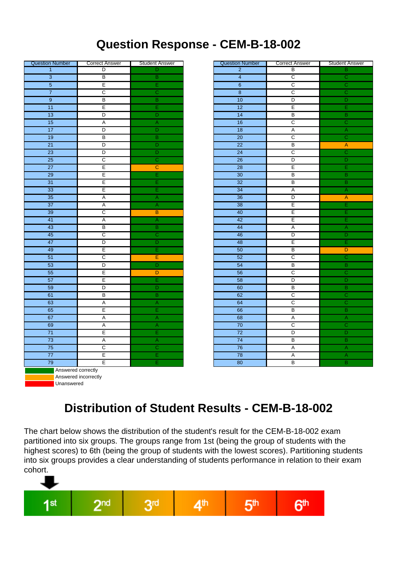### **Question Response - CEM-B-18-002**

| <b>Question Number</b>    | <b>Correct Answer</b>   | <b>Student Answer</b>   | <b>Question Number</b>               | <b>Correct Answer</b>   | Student                   |
|---------------------------|-------------------------|-------------------------|--------------------------------------|-------------------------|---------------------------|
| $\mathbf{1}$              | D                       | D                       | $\overline{2}$                       | B                       | B                         |
| $\overline{\overline{3}}$ | $\overline{B}$          | $\overline{B}$          | $\overline{4}$                       | $\overline{\text{c}}$   | $\overline{\overline{c}}$ |
| $\overline{5}$            | Έ                       | Ε                       | $\overline{6}$                       | $\overline{\text{c}}$   | $\overline{\overline{c}}$ |
| $\overline{7}$            | $\overline{\mathsf{c}}$ | $\overline{\text{c}}$   | $\overline{\overline{\overline{8}}}$ | $\overline{\text{c}}$   | $\overline{\overline{c}}$ |
| $\overline{9}$            | $\overline{B}$          | $\overline{B}$          | $\overline{10}$                      | $\overline{\circ}$      | $\overline{\mathsf{D}}$   |
| $\overline{11}$           | Έ                       | Έ                       | $\overline{12}$                      | E                       | Έ                         |
| $\overline{13}$           | $\overline{D}$          | $\overline{D}$          | $\overline{14}$                      | $\overline{B}$          | $\overline{B}$            |
| $\overline{15}$           | $\overline{A}$          | $\overline{\mathsf{A}}$ | $\overline{16}$                      | $\overline{c}$          | $\overline{\overline{c}}$ |
| $\overline{17}$           | $\overline{\mathsf{D}}$ | $\overline{D}$          | $\overline{18}$                      | $\overline{A}$          | $\overline{A}$            |
| $\overline{19}$           | $\overline{B}$          | $\overline{B}$          | $\overline{20}$                      | $\overline{\text{c}}$   | $\overline{\overline{c}}$ |
| $\overline{21}$           | $\overline{D}$          | $\overline{D}$          | $\overline{22}$                      | $\overline{B}$          | $\overline{A}$            |
| $\overline{23}$           | $\overline{D}$          | $\overline{D}$          | $\overline{24}$                      | $\overline{c}$          | $\overline{c}$            |
| $\overline{25}$           | $\overline{c}$          | $\overline{\text{c}}$   | $\overline{26}$                      | $\overline{\mathsf{D}}$ | ō                         |
| $\overline{27}$           | E                       | $\mathbf C$             | $\overline{28}$                      | E                       | Ē                         |
| 29                        | Έ                       | $\overline{E}$          | $\overline{30}$                      | $\overline{B}$          | $\overline{B}$            |
| 31                        | Έ                       | Έ                       | 32                                   | $\overline{B}$          | B                         |
| 33                        | E                       | Έ                       | 34                                   | A                       | $\overline{A}$            |
| 35                        | $\overline{A}$          | $\overline{\mathsf{A}}$ | $\overline{36}$                      | $\overline{D}$          | $\overline{A}$            |
| $\overline{37}$           | $\overline{A}$          | $\overline{\mathsf{A}}$ | 38                                   | E                       | E                         |
| $\overline{39}$           | $\overline{\text{c}}$   | B                       | 40                                   | E                       | Ē                         |
| 41                        | $\overline{A}$          | $\overline{A}$          | 42                                   | Ε                       | Ē                         |
| 43                        | $\overline{B}$          | $\overline{B}$          | 44                                   | $\overline{\mathsf{A}}$ | $\overline{A}$            |
| 45                        | $\overline{\text{c}}$   | $\overline{c}$          | 46                                   | D                       | $\overline{\mathsf{D}}$   |
| 47                        | $\overline{D}$          | $\overline{D}$          | 48                                   | E                       | Ē                         |
| 49                        | E                       | Ε                       | 50                                   | B                       | D                         |
| $\overline{51}$           | $\overline{c}$          | Е                       | $\overline{52}$                      | $\overline{c}$          | $\overline{C}$            |
| 53                        | $\overline{D}$          | $\overline{D}$          | 54                                   | $\overline{B}$          | $\overline{B}$            |
| 55                        | Έ                       | $\overline{D}$          | 56                                   | $\overline{c}$          | $\overline{c}$            |
| $\overline{57}$           | Έ                       | Ε                       | $\overline{58}$                      | $\overline{\mathsf{D}}$ | ō                         |
| 59                        | $\overline{D}$          | $\overline{\mathsf{D}}$ | 60                                   | $\overline{B}$          | $\overline{\mathsf{B}}$   |
| 61                        | $\overline{B}$          | $\overline{B}$          | 62                                   | $\overline{c}$          | $\overline{c}$            |
| 63                        | $\overline{A}$          | $\overline{A}$          | 64                                   | $\overline{c}$          | $\overline{\overline{c}}$ |
| 65                        | Έ                       | Έ                       | 66                                   | $\overline{B}$          | $\overline{\mathbf{B}}$   |
| 67                        | $\overline{A}$          | $\overline{A}$          | 68                                   | $\overline{\mathsf{A}}$ | $\overline{A}$            |
| 69                        | $\overline{A}$          | $\overline{A}$          | $\overline{70}$                      | $\overline{c}$          | $\overline{\overline{C}}$ |
| $\overline{71}$           | Έ                       | Έ                       | $\overline{72}$                      | $\overline{\mathsf{D}}$ | $\overline{\mathsf{D}}$   |
| $\overline{73}$           | A                       | $\overline{A}$          | $\overline{74}$                      | $\overline{B}$          | $\overline{\mathsf{B}}$   |
| $\overline{75}$           | $\overline{\text{c}}$   | $\overline{\mathsf{c}}$ | $\overline{76}$                      | $\overline{A}$          | $\overline{A}$            |
| $\overline{77}$           | $\overline{E}$          | Έ                       | $\overline{78}$                      | $\overline{A}$          | $\overline{\mathsf{A}}$   |
| $\overline{79}$           | $\overline{E}$          | Ε                       | $\overline{80}$                      | $\overline{B}$          | $\overline{B}$            |
| Answered correctly        |                         |                         |                                      |                         |                           |
|                           | Answered incorrectly    |                         |                                      |                         |                           |
| Unanswered                |                         |                         |                                      |                         |                           |
|                           |                         |                         |                                      |                         |                           |

| <b>Question Number</b>    | <b>Correct Answer</b>   | <b>Student Answer</b>     | <b>Question Number</b>               | <b>Correct Answer</b>   | <b>Student Answer</b>            |
|---------------------------|-------------------------|---------------------------|--------------------------------------|-------------------------|----------------------------------|
| $\mathbf{1}$              | D                       | D                         | $\overline{2}$                       | В                       | B                                |
| $\overline{\overline{3}}$ | $\overline{B}$          | $\overline{B}$            | $\overline{4}$                       | $\overline{\text{c}}$   | $\overline{\overline{\text{c}}}$ |
| $\overline{5}$            | $\overline{E}$          | Έ                         | $\overline{6}$                       | $\overline{\text{c}}$   | $\overline{\overline{c}}$        |
| $\overline{7}$            | $\overline{\mathsf{c}}$ | $\overline{C}$            | $\overline{\overline{\overline{8}}}$ | $\overline{c}$          | $\overline{\mathsf{c}}$          |
| $\overline{9}$            | $\overline{B}$          | $\overline{B}$            | 10                                   | $\overline{D}$          | $\overline{\mathsf{D}}$          |
| $\overline{11}$           | $\overline{E}$          | Έ                         | $\overline{12}$                      | Έ                       | $\overline{E}$                   |
| $\overline{13}$           | $\overline{D}$          | $\overline{\mathsf{D}}$   | $\overline{14}$                      | $\overline{B}$          | $\overline{B}$                   |
| $\overline{15}$           | $\overline{A}$          | $\overline{A}$            | 16                                   | $\overline{\text{c}}$   | $\overline{\overline{\text{c}}}$ |
| $\overline{17}$           | $\overline{D}$          | $\overline{\mathsf{D}}$   | 18                                   | $\overline{A}$          | $\overline{A}$                   |
| $\overline{19}$           | $\overline{B}$          | $\overline{B}$            | $\overline{20}$                      | $\overline{\mathsf{c}}$ | $\overline{\text{c}}$            |
| $\overline{21}$           | $\overline{D}$          | $\overline{D}$            | $\overline{22}$                      | $\overline{B}$          | $\mathsf{A}$                     |
| $\overline{23}$           | $\overline{D}$          | $\overline{D}$            | $\overline{24}$                      | $\overline{C}$          | $\overline{\overline{c}}$        |
| $\overline{25}$           | $\overline{\text{c}}$   | $\overline{\text{c}}$     | $\overline{26}$                      | $\overline{D}$          | $\overline{D}$                   |
| $\overline{27}$           | $\overline{E}$          | $\overline{C}$            | $\overline{28}$                      | E                       | Ē                                |
| $\overline{29}$           | $\overline{E}$          | Έ                         | $\overline{30}$                      | $\overline{B}$          | $\overline{B}$                   |
| 31                        | $\overline{E}$          | Ē                         | $\overline{32}$                      | $\overline{B}$          | $\overline{B}$                   |
| 33                        | $\overline{E}$          | Έ                         | 34                                   | Α                       | $\overline{\mathsf{A}}$          |
| 35                        | $\overline{A}$          | $\mathsf{A}$              | 36                                   | $\overline{D}$          | $\mathsf A$                      |
| $\overline{37}$           | $\overline{A}$          | $\overline{\mathsf{A}}$   | 38                                   | Έ                       | E                                |
| 39                        | $\overline{C}$          | $\overline{B}$            | 40                                   | E                       | Ē                                |
| 41                        | $\sf A$                 | $\overline{A}$            | 42                                   | $\overline{E}$          | E                                |
| 43                        | $\overline{B}$          | $\overline{B}$            | 44                                   | $\mathsf{A}$            | $\overline{\mathsf{A}}$          |
| 45                        | $\overline{c}$          | $\overline{C}$            | 46                                   | D                       | $\overline{D}$                   |
| 47                        | $\overline{D}$          | $\overline{D}$            | 48                                   | Έ                       | E                                |
| 49                        | $\overline{E}$          | Ε                         | 50                                   | $\overline{B}$          | $\overline{D}$                   |
| 51                        | $\overline{c}$          | Ε                         | 52                                   | $\overline{c}$          | $\overline{\overline{c}}$        |
| 53                        | $\overline{\mathsf{D}}$ | $\overline{\circ}$        | 54                                   | $\overline{B}$          | $\overline{B}$                   |
| $\overline{55}$           | $\overline{E}$          | $\overline{D}$            | 56                                   | $\overline{c}$          | $\overline{\text{c}}$            |
| 57                        | $\overline{E}$          | Έ                         | 58                                   | $\overline{D}$          | $\overline{D}$                   |
| 59                        | $\overline{D}$          | $\overline{D}$            | 60                                   | $\overline{B}$          | $\overline{B}$                   |
| 61                        | $\overline{B}$          | $\overline{B}$            | 62                                   | $\overline{c}$          | $\overline{\overline{c}}$        |
| 63                        | $\overline{\mathsf{A}}$ | $\overline{\mathsf{A}}$   | 64                                   | $\overline{c}$          | $\overline{\overline{c}}$        |
| 65                        | $\overline{E}$          | Έ                         | 66                                   | $\overline{B}$          | $\overline{B}$                   |
| 67                        | $\overline{A}$          | $\boldsymbol{\mathsf{A}}$ | 68                                   | $\overline{A}$          | $\overline{A}$                   |
| 69                        | $\overline{\mathsf{A}}$ | $\overline{A}$            | $\overline{70}$                      | $\overline{c}$          | $\overline{\overline{c}}$        |
| $\overline{71}$           | $\overline{E}$          | Έ                         | $\overline{72}$                      | $\overline{D}$          | $\overline{D}$                   |
| $\overline{73}$           | $\overline{A}$          | A                         | $\overline{74}$                      | $\overline{B}$          | $\overline{\mathsf{B}}$          |
| $\overline{75}$           | $\overline{c}$          | $\overline{\text{c}}$     | $\overline{76}$                      | $\overline{A}$          | $\overline{A}$                   |
| $\overline{77}$           | $\overline{E}$          | Έ                         | $\overline{78}$                      | Α                       | $\overline{A}$                   |
| $\overline{79}$           | $\overline{E}$          | Ē                         | $\overline{80}$                      | $\overline{B}$          | $\overline{B}$                   |

## **Distribution of Student Results - CEM-B-18-002**

The chart below shows the distribution of the student's result for the CEM-B-18-002 exam partitioned into six groups. The groups range from 1st (being the group of students with the highest scores) to 6th (being the group of students with the lowest scores). Partitioning students into six groups provides a clear understanding of students performance in relation to their exam cohort.

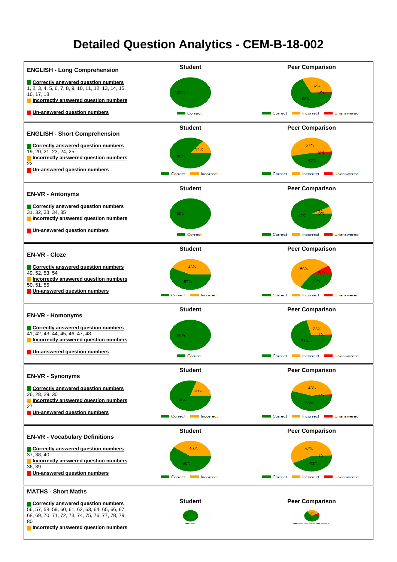### **Detailed Question Analytics - CEM-B-18-002**

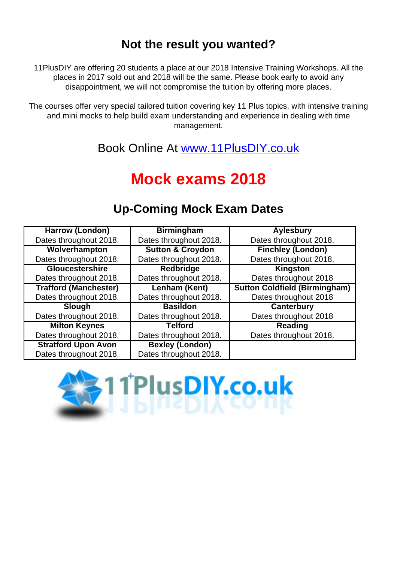### **Not the result you wanted?**

11PlusDIY are offering 20 students a place at our 2018 Intensive Training Workshops. All the places in 2017 sold out and 2018 will be the same. Please book early to avoid any disappointment, we will not compromise the tuition by offering more places.

The courses offer very special tailored tuition covering key 11 Plus topics, with intensive training and mini mocks to help build exam understanding and experience in dealing with time management.

Book Online At [www.11PlusDIY.co.uk](http://www.11PlusDIY.co.uk)

## **Mock exams 2018**

#### **Harrow (London)** Dates throughout 2018. **Birmingham** Dates throughout 2018. **Aylesbury** Dates throughout 2018. **Wolverhampton** Dates throughout 2018. **Sutton & Croydon** Dates throughout 2018. **Finchley (London)** Dates throughout 2018. **Gloucestershire** Dates throughout 2018. **Redbridge** Dates throughout 2018. **Kingston** Dates throughout 2018 **Trafford (Manchester)** Dates throughout 2018. **Lenham (Kent)** Dates throughout 2018. **Sutton Coldfield (Birmingham)** Dates throughout 2018 **Slough** Dates throughout 2018. **Basildon** Dates throughout 2018. **Canterbury** Dates throughout 2018 **Milton Keynes** Dates throughout 2018. **Telford** Dates throughout 2018. **Reading** Dates throughout 2018. **Stratford Upon Avon** Dates throughout 2018. **Bexley (London)** Dates throughout 2018.

### **Up-Coming Mock Exam Dates**

![](_page_10_Picture_7.jpeg)